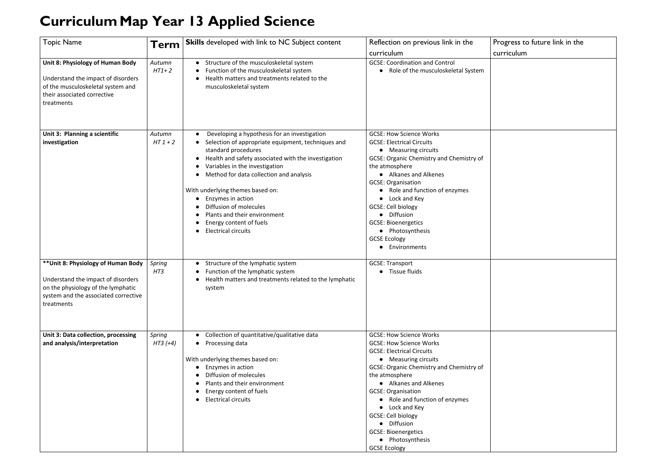## **CurriculumMap Year 13 Applied Science**

## Progress to future link in the curriculum

| <b>Topic Name</b>                                                                                                                                                     | Term                 | <b>Skills</b> developed with link to NC Subject content                                                                                                                                                                                                                                                                                                                                                                                   | Reflection on previous link in the<br>curriculum                                                                                                                                                                                                                                                                                                                                                                                              |
|-----------------------------------------------------------------------------------------------------------------------------------------------------------------------|----------------------|-------------------------------------------------------------------------------------------------------------------------------------------------------------------------------------------------------------------------------------------------------------------------------------------------------------------------------------------------------------------------------------------------------------------------------------------|-----------------------------------------------------------------------------------------------------------------------------------------------------------------------------------------------------------------------------------------------------------------------------------------------------------------------------------------------------------------------------------------------------------------------------------------------|
| Unit 8: Physiology of Human Body<br>Understand the impact of disorders<br>of the musculoskeletal system and<br>their associated corrective<br>treatments              | Autumn<br>$HT1+2$    | Structure of the musculoskeletal system<br>Function of the musculoskeletal system<br>Health matters and treatments related to the<br>musculoskeletal system                                                                                                                                                                                                                                                                               | <b>GCSE: Coordination and Control</b><br>Role of the musculoskeletal System<br>$\bullet$                                                                                                                                                                                                                                                                                                                                                      |
| Unit 3: Planning a scientific<br>investigation                                                                                                                        | Autumn<br>$HT1+2$    | Developing a hypothesis for an investigation<br>Selection of appropriate equipment, techniques and<br>standard procedures<br>Health and safety associated with the investigation<br>Variables in the investigation<br>Method for data collection and analysis<br>With underlying themes based on:<br>Enzymes in action<br>Diffusion of molecules<br>Plants and their environment<br>Energy content of fuels<br><b>Electrical circuits</b> | <b>GCSE: How Science Works</b><br><b>GCSE: Electrical Circuits</b><br>• Measuring circuits<br><b>GCSE: Organic Chemistry and Chemistry of</b><br>the atmosphere<br>• Alkanes and Alkenes<br><b>GCSE: Organisation</b><br>Role and function of enzymes<br>Lock and Key<br>$\bullet$<br><b>GCSE: Cell biology</b><br>Diffusion<br><b>GCSE: Bioenergetics</b><br>• Photosynthesis<br><b>GCSE Ecology</b><br>Environments                         |
| ** Unit 8: Physiology of Human Body<br>Understand the impact of disorders<br>on the physiology of the lymphatic<br>system and the associated corrective<br>treatments | Spring<br>HT3        | Structure of the lymphatic system<br>Function of the lymphatic system<br>Health matters and treatments related to the lymphatic<br>system                                                                                                                                                                                                                                                                                                 | <b>GCSE: Transport</b><br>Tissue fluids                                                                                                                                                                                                                                                                                                                                                                                                       |
| Unit 3: Data collection, processing<br>and analysis/interpretation                                                                                                    | Spring<br>$HT3 (+4)$ | Collection of quantitative/qualitative data<br>Processing data<br>With underlying themes based on:<br>Enzymes in action<br>Diffusion of molecules<br>Plants and their environment<br>Energy content of fuels<br><b>Electrical circuits</b>                                                                                                                                                                                                | <b>GCSE: How Science Works</b><br><b>GCSE: How Science Works</b><br><b>GCSE: Electrical Circuits</b><br>• Measuring circuits<br>GCSE: Organic Chemistry and Chemistry of<br>the atmosphere<br>• Alkanes and Alkenes<br><b>GCSE: Organisation</b><br>Role and function of enzymes<br>Lock and Key<br>$\bullet$<br><b>GCSE: Cell biology</b><br>Diffusion<br>$\bullet$<br><b>GCSE: Bioenergetics</b><br>• Photosynthesis<br><b>GCSE Ecology</b> |